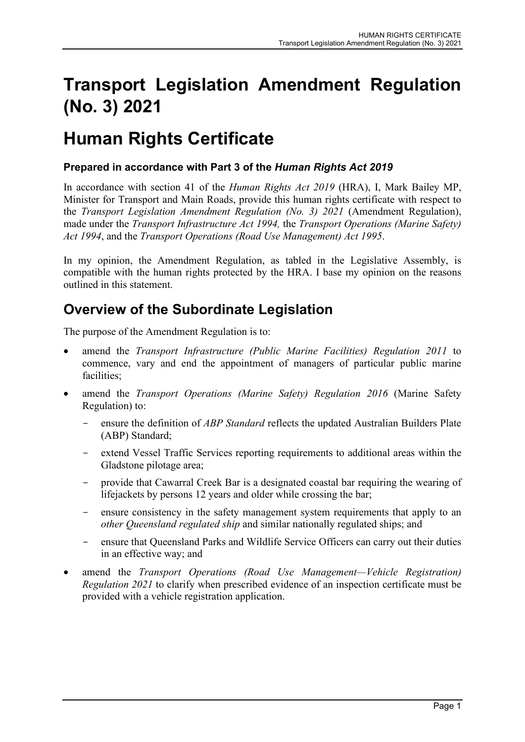# **Transport Legislation Amendment Regulation (No. 3) 2021**

# **Human Rights Certificate**

### **Prepared in accordance with Part 3 of the** *Human Rights Act 2019*

In accordance with section 41 of the *Human Rights Act 2019* (HRA), I, Mark Bailey MP, Minister for Transport and Main Roads, provide this human rights certificate with respect to the *Transport Legislation Amendment Regulation (No. 3) 2021* (Amendment Regulation), made under the *Transport Infrastructure Act 1994,* the *Transport Operations (Marine Safety) Act 1994*, and the *Transport Operations (Road Use Management) Act 1995*.

In my opinion, the Amendment Regulation, as tabled in the Legislative Assembly, is compatible with the human rights protected by the HRA. I base my opinion on the reasons outlined in this statement.

# **Overview of the Subordinate Legislation**

The purpose of the Amendment Regulation is to:

- amend the *Transport Infrastructure (Public Marine Facilities) Regulation 2011* to commence, vary and end the appointment of managers of particular public marine facilities;
- amend the *Transport Operations (Marine Safety) Regulation 2016* (Marine Safety Regulation) to:
	- ensure the definition of *ABP Standard* reflects the updated Australian Builders Plate (ABP) Standard;
	- extend Vessel Traffic Services reporting requirements to additional areas within the Gladstone pilotage area;
	- provide that Cawarral Creek Bar is a designated coastal bar requiring the wearing of lifejackets by persons 12 years and older while crossing the bar;
	- ensure consistency in the safety management system requirements that apply to an *other Queensland regulated ship* and similar nationally regulated ships; and
	- ensure that Queensland Parks and Wildlife Service Officers can carry out their duties in an effective way; and
- amend the *Transport Operations (Road Use Management—Vehicle Registration) Regulation 2021* to clarify when prescribed evidence of an inspection certificate must be provided with a vehicle registration application.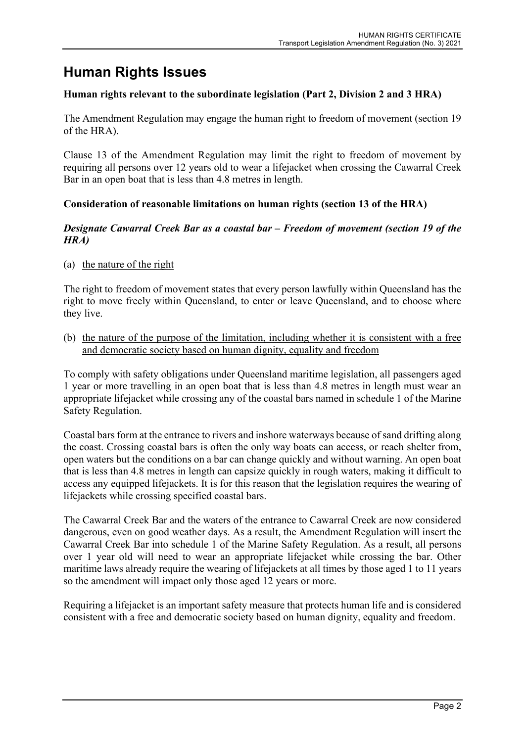# **Human Rights Issues**

### **Human rights relevant to the subordinate legislation (Part 2, Division 2 and 3 HRA)**

The Amendment Regulation may engage the human right to freedom of movement (section 19 of the HRA).

Clause 13 of the Amendment Regulation may limit the right to freedom of movement by requiring all persons over 12 years old to wear a lifejacket when crossing the Cawarral Creek Bar in an open boat that is less than 4.8 metres in length.

### **Consideration of reasonable limitations on human rights (section 13 of the HRA)**

#### *Designate Cawarral Creek Bar as a coastal bar – Freedom of movement (section 19 of the HRA)*

(a) the nature of the right

The right to freedom of movement states that every person lawfully within Queensland has the right to move freely within Queensland, to enter or leave Queensland, and to choose where they live.

(b) the nature of the purpose of the limitation, including whether it is consistent with a free and democratic society based on human dignity, equality and freedom

To comply with safety obligations under Queensland maritime legislation, all passengers aged 1 year or more travelling in an open boat that is less than 4.8 metres in length must wear an appropriate lifejacket while crossing any of the coastal bars named in schedule 1 of the Marine Safety Regulation.

Coastal bars form at the entrance to rivers and inshore waterways because of sand drifting along the coast. Crossing coastal bars is often the only way boats can access, or reach shelter from, open waters but the conditions on a bar can change quickly and without warning. An open boat that is less than 4.8 metres in length can capsize quickly in rough waters, making it difficult to access any equipped lifejackets. It is for this reason that the legislation requires the wearing of lifejackets while crossing specified coastal bars.

The Cawarral Creek Bar and the waters of the entrance to Cawarral Creek are now considered dangerous, even on good weather days. As a result, the Amendment Regulation will insert the Cawarral Creek Bar into schedule 1 of the Marine Safety Regulation. As a result, all persons over 1 year old will need to wear an appropriate lifejacket while crossing the bar. Other maritime laws already require the wearing of lifejackets at all times by those aged 1 to 11 years so the amendment will impact only those aged 12 years or more.

Requiring a lifejacket is an important safety measure that protects human life and is considered consistent with a free and democratic society based on human dignity, equality and freedom.